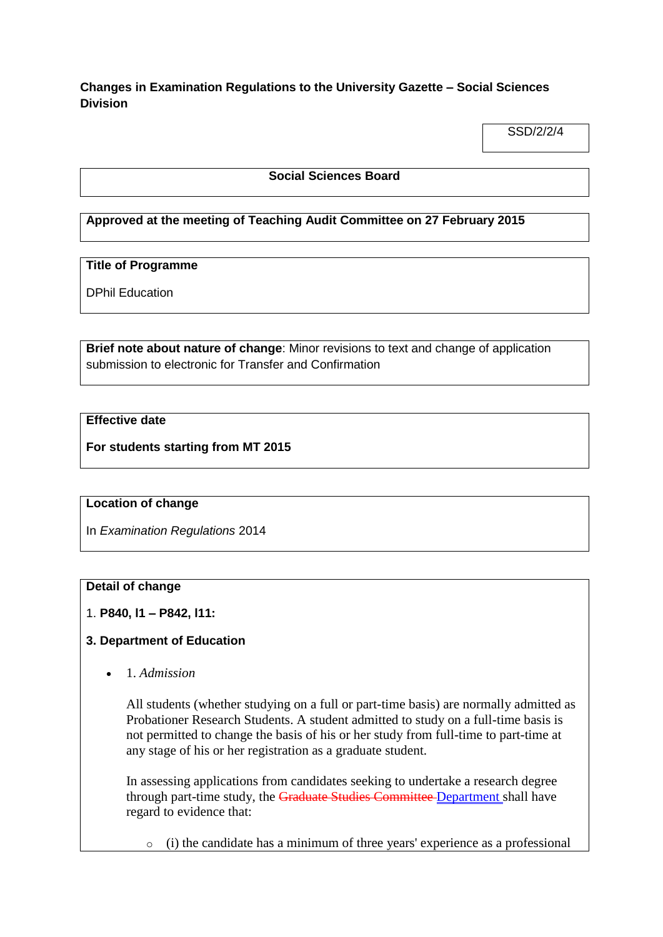**Changes in Examination Regulations to the University Gazette – Social Sciences Division**

SSD/2/2/4

### **Social Sciences Board**

# **Approved at the meeting of Teaching Audit Committee on 27 February 2015**

### **Title of Programme**

DPhil Education

**Brief note about nature of change**: Minor revisions to text and change of application submission to electronic for Transfer and Confirmation

### **Effective date**

**For students starting from MT 2015**

### **Location of change**

In *Examination Regulations* 2014

#### **Detail of change**

1. **P840, l1 – P842, l11:**

### **3. Department of Education**

1. *Admission*

All students (whether studying on a full or part-time basis) are normally admitted as Probationer Research Students. A student admitted to study on a full-time basis is not permitted to change the basis of his or her study from full-time to part-time at any stage of his or her registration as a graduate student.

In assessing applications from candidates seeking to undertake a research degree through part-time study, the Graduate Studies Committee Department shall have regard to evidence that:

o (i) the candidate has a minimum of three years' experience as a professional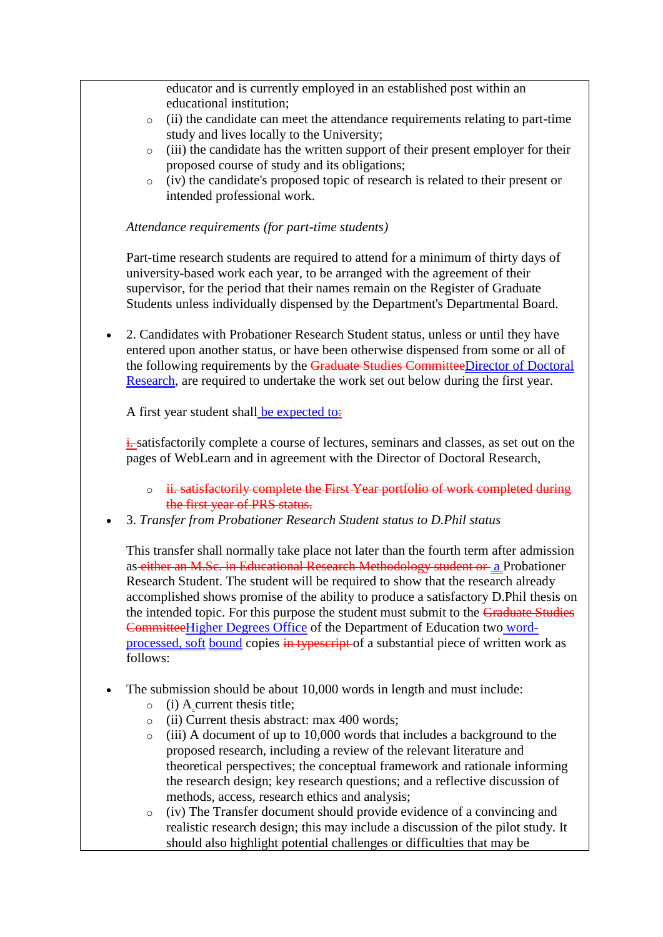educator and is currently employed in an established post within an educational institution;

- $\circ$  (ii) the candidate can meet the attendance requirements relating to part-time study and lives locally to the University;
- o (iii) the candidate has the written support of their present employer for their proposed course of study and its obligations;
- o (iv) the candidate's proposed topic of research is related to their present or intended professional work.

# *Attendance requirements (for part-time students)*

Part-time research students are required to attend for a minimum of thirty days of university-based work each year, to be arranged with the agreement of their supervisor, for the period that their names remain on the Register of Graduate Students unless individually dispensed by the Department's Departmental Board.

 2. Candidates with Probationer Research Student status, unless or until they have entered upon another status, or have been otherwise dispensed from some or all of the following requirements by the Graduate Studies CommitteeDirector of Doctoral Research, are required to undertake the work set out below during the first year.

A first year student shall be expected to:

 $\frac{1}{2}$  satisfactorily complete a course of lectures, seminars and classes, as set out on the pages of WebLearn and in agreement with the Director of Doctoral Research,

- o ii. satisfactorily complete the First Year portfolio of work completed during the first year of PRS status.
- 3. *Transfer from Probationer Research Student status to D.Phil status*

This transfer shall normally take place not later than the fourth term after admission as either an M.Sc. in Educational Research Methodology student or a Probationer Research Student. The student will be required to show that the research already accomplished shows promise of the ability to produce a satisfactory D.Phil thesis on the intended topic. For this purpose the student must submit to the Graduate Studies CommitteeHigher Degrees Office of the Department of Education two wordprocessed, soft bound copies in typescript of a substantial piece of written work as follows:

- The submission should be about 10,000 words in length and must include:
	- o (i) A current thesis title;
	- o (ii) Current thesis abstract: max 400 words;
	- o (iii) A document of up to 10,000 words that includes a background to the proposed research, including a review of the relevant literature and theoretical perspectives; the conceptual framework and rationale informing the research design; key research questions; and a reflective discussion of methods, access, research ethics and analysis;
	- o (iv) The Transfer document should provide evidence of a convincing and realistic research design; this may include a discussion of the pilot study. It should also highlight potential challenges or difficulties that may be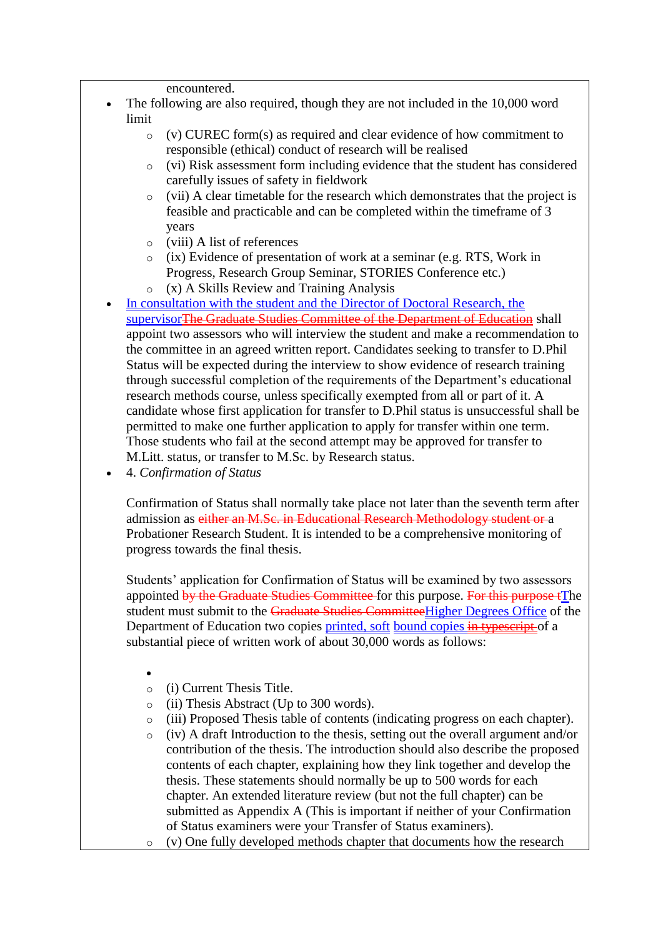encountered.

- The following are also required, though they are not included in the 10,000 word limit
	- $\circ$  (v) CUREC form(s) as required and clear evidence of how commitment to responsible (ethical) conduct of research will be realised
	- o (vi) Risk assessment form including evidence that the student has considered carefully issues of safety in fieldwork
	- o (vii) A clear timetable for the research which demonstrates that the project is feasible and practicable and can be completed within the timeframe of 3 years
	- o (viii) A list of references
	- o (ix) Evidence of presentation of work at a seminar (e.g. RTS, Work in Progress, Research Group Seminar, STORIES Conference etc.)
	- $\circ$  (x) A Skills Review and Training Analysis
- In consultation with the student and the Director of Doctoral Research, the supervisor<del>The Graduate Studies Committee of the Department of Education</del> shall appoint two assessors who will interview the student and make a recommendation to the committee in an agreed written report. Candidates seeking to transfer to D.Phil Status will be expected during the interview to show evidence of research training through successful completion of the requirements of the Department's educational research methods course, unless specifically exempted from all or part of it. A candidate whose first application for transfer to D.Phil status is unsuccessful shall be permitted to make one further application to apply for transfer within one term. Those students who fail at the second attempt may be approved for transfer to M.Litt. status, or transfer to M.Sc. by Research status.
- 4. *Confirmation of Status*

Confirmation of Status shall normally take place not later than the seventh term after admission as either an M.Sc. in Educational Research Methodology student or a Probationer Research Student. It is intended to be a comprehensive monitoring of progress towards the final thesis.

Students' application for Confirmation of Status will be examined by two assessors appointed by the Graduate Studies Committee for this purpose. For this purpose tThe student must submit to the Graduate Studies CommitteeHigher Degrees Office of the Department of Education two copies printed, soft bound copies in typescript of a substantial piece of written work of about 30,000 words as follows:

- $\bullet$
- o (i) Current Thesis Title.
- o (ii) Thesis Abstract (Up to 300 words).
- o (iii) Proposed Thesis table of contents (indicating progress on each chapter).
- o (iv) A draft Introduction to the thesis, setting out the overall argument and/or contribution of the thesis. The introduction should also describe the proposed contents of each chapter, explaining how they link together and develop the thesis. These statements should normally be up to 500 words for each chapter. An extended literature review (but not the full chapter) can be submitted as Appendix A (This is important if neither of your Confirmation of Status examiners were your Transfer of Status examiners).
- o (v) One fully developed methods chapter that documents how the research